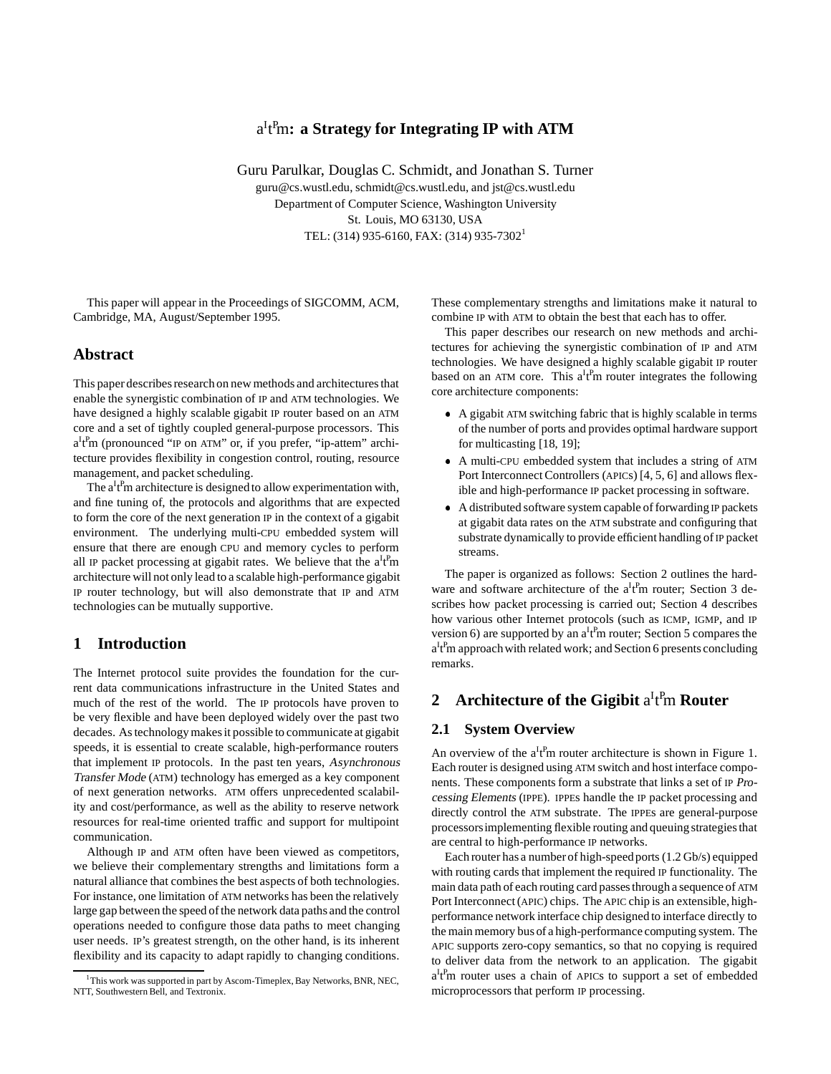# aI t P m**: a Strategy for Integrating IP with ATM**

Guru Parulkar, Douglas C. Schmidt, and Jonathan S. Turner guru@cs.wustl.edu, schmidt@cs.wustl.edu, and jst@cs.wustl.edu Department of Computer Science, Washington University St. Louis, MO 63130, USA TEL: (314) 935-6160, FAX: (314) 935-7302<sup>1</sup>

This paper will appear in the Proceedings of SIGCOMM, ACM, Cambridge, MA, August/September 1995.

## **Abstract**

This paper describes research on new methods and architectures that enable the synergistic combination of IP and ATM technologies. We have designed a highly scalable gigabit IP router based on an ATM core and a set of tightly coupled general-purpose processors. This  $a^{I}_{I}$ <sup>P</sup>m (pronounced "IP on ATM" or, if you prefer, "ip-attem" architecture provides flexibility in congestion control, routing, resource management, and packet scheduling.

The  $a^{I}$ <sub>t</sub><sup>p</sup>m architecture is designed to allow experimentation with, and fine tuning of, the protocols and algorithms that are expected to form the core of the next generation IP in the context of a gigabit environment. The underlying multi-CPU embedded system will ensure that there are enough CPU and memory cycles to perform all IP packet processing at gigabit rates. We believe that the  $a^It^Pm$ architecture will not only lead to a scalable high-performance gigabit IP router technology, but will also demonstrate that IP and ATM technologies can be mutually supportive.

## **1 Introduction**

The Internet protocol suite provides the foundation for the current data communications infrastructure in the United States and much of the rest of the world. The IP protocols have proven to be very flexible and have been deployed widely over the past two decades. As technology makes it possible to communicate at gigabit speeds, it is essential to create scalable, high-performance routers that implement IP protocols. In the past ten years, Asynchronous Transfer Mode (ATM) technology has emerged as a key component of next generation networks. ATM offers unprecedented scalability and cost/performance, as well as the ability to reserve network resources for real-time oriented traffic and support for multipoint communication.

Although IP and ATM often have been viewed as competitors, we believe their complementary strengths and limitations form a natural alliance that combines the best aspects of both technologies. For instance, one limitation of ATM networks has been the relatively large gap between the speed of the network data paths and the control operations needed to configure those data paths to meet changing user needs. IP's greatest strength, on the other hand, is its inherent flexibility and its capacity to adapt rapidly to changing conditions.

These complementary strengths and limitations make it natural to combine IP with ATM to obtain the best that each has to offer.

This paper describes our research on new methods and architectures for achieving the synergistic combination of IP and ATM technologies. We have designed a highly scalable gigabit IP router based on an ATM core. This  $a^If^Pm$  router integrates the following core architecture components:

- A gigabit ATM switching fabric that is highly scalable in terms of the number of ports and provides optimal hardware support for multicasting [18, 19];
- A multi-CPU embedded system that includes a string of ATM Port Interconnect Controllers (APICs) [4, 5, 6] and allows flexible and high-performance IP packet processing in software.
- A distributed software system capable of forwardingIP packets at gigabit data rates on the ATM substrate and configuring that substrate dynamically to provide efficient handling of IP packet streams.

The paper is organized as follows: Section 2 outlines the hardware and software architecture of the  $a^It^Pm$  router; Section 3 describes how packet processing is carried out; Section 4 describes how various other Internet protocols (such as ICMP, IGMP, and IP version 6) are supported by an  $a^It^Pm$  router; Section 5 compares the a<sup>I</sup>t<sup>P</sup>m approach with related work; and Section 6 presents concluding remarks.

# 2 Architecture of the Gigibit a<sup>ItP</sup>m Router

## **2.1 System Overview**

An overview of the  $a^It^Pm$  router architecture is shown in Figure 1. Each router is designed using ATM switch and host interface components. These components form a substrate that links a set of IP Processing Elements (IPPE). IPPEs handle the IP packet processing and directly control the ATM substrate. The IPPEs are general-purpose processorsimplementing flexible routing and queuing strategies that are central to high-performance IP networks.

Each router has a numberof high-speedports (1.2 Gb/s) equipped with routing cards that implement the required IP functionality. The main data path of each routing card passes through a sequence of ATM Port Interconnect (APIC) chips. The APIC chip is an extensible, highperformance network interface chip designed to interface directly to the main memory bus of a high-performance computing system. The APIC supports zero-copy semantics, so that no copying is required to deliver data from the network to an application. The gigabit a<sup>I</sup>t<sup>P</sup>m router uses a chain of APICs to support a set of embedded microprocessors that perform IP processing.

<sup>&</sup>lt;sup>1</sup>This work was supported in part by Ascom-Timeplex, Bay Networks, BNR, NEC, NTT, Southwestern Bell, and Textronix.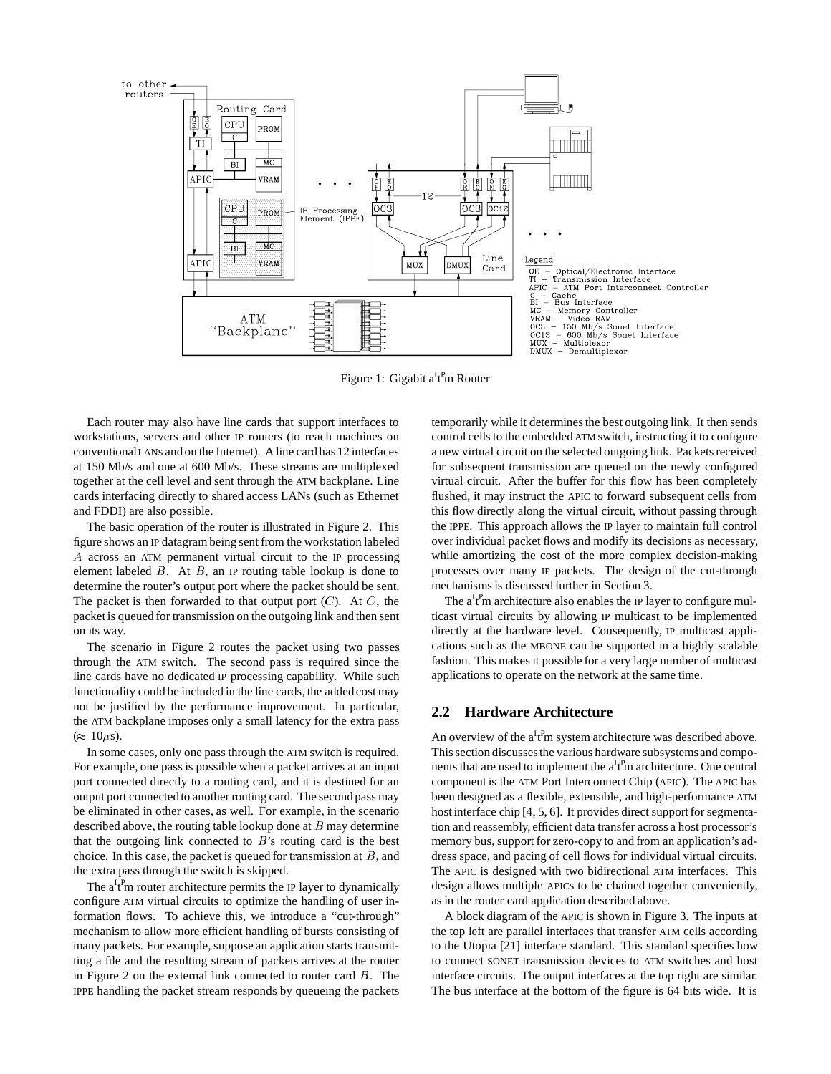

Figure 1: Gigabit a<sup>I</sup>t<sup>P</sup>m Router

Each router may also have line cards that support interfaces to workstations, servers and other IP routers (to reach machines on conventionalLANs and on the Internet). A line card has 12 interfaces at 150 Mb/s and one at 600 Mb/s. These streams are multiplexed together at the cell level and sent through the ATM backplane. Line cards interfacing directly to shared access LANs (such as Ethernet and FDDI) are also possible.

The basic operation of the router is illustrated in Figure 2. This figure shows an IP datagram being sent from the workstation labeled A across an ATM permanent virtual circuit to the IP processing element labeled  $B$ . At  $B$ , an IP routing table lookup is done to determine the router's output port where the packet should be sent. The packet is then forwarded to that output port  $(C)$ . At C, the packet is queued for transmission on the outgoing link and then sent on its way.

The scenario in Figure 2 routes the packet using two passes through the ATM switch. The second pass is required since the line cards have no dedicated IP processing capability. While such functionality could be included in the line cards, the added cost may not be justified by the performance improvement. In particular, the ATM backplane imposes only a small latency for the extra pass  $(\approx 10 \mu s)$ .

In some cases, only one pass through the ATM switch is required. For example, one pass is possible when a packet arrives at an input port connected directly to a routing card, and it is destined for an output port connected to another routing card. The second pass may be eliminated in other cases, as well. For example, in the scenario described above, the routing table lookup done at  $B$  may determine that the outgoing link connected to  $B$ 's routing card is the best choice. In this case, the packet is queued for transmission at  $B$ , and the extra pass through the switch is skipped.

The  $a^{I}$ <sub>r</sub><sup>P</sup>m router architecture permits the IP layer to dynamically configure ATM virtual circuits to optimize the handling of user information flows. To achieve this, we introduce a "cut-through" mechanism to allow more efficient handling of bursts consisting of many packets. For example, suppose an application starts transmitting a file and the resulting stream of packets arrives at the router in Figure 2 on the external link connected to router card  $B$ . The IPPE handling the packet stream responds by queueing the packets

temporarily while it determines the best outgoing link. It then sends control cells to the embedded ATM switch, instructing it to configure a new virtual circuit on the selected outgoing link. Packets received for subsequent transmission are queued on the newly configured virtual circuit. After the buffer for this flow has been completely flushed, it may instruct the APIC to forward subsequent cells from this flow directly along the virtual circuit, without passing through the IPPE. This approach allows the IP layer to maintain full control over individual packet flows and modify its decisions as necessary, while amortizing the cost of the more complex decision-making processes over many IP packets. The design of the cut-through mechanisms is discussed further in Section 3.

The  $a^{\text{I}}t^{\text{P}}$ m architecture also enables the IP layer to configure multicast virtual circuits by allowing IP multicast to be implemented directly at the hardware level. Consequently, IP multicast applications such as the MBONE can be supported in a highly scalable fashion. This makes it possible for a very large number of multicast applications to operate on the network at the same time.

#### **2.2 Hardware Architecture**

An overview of the  $a^It^Pm$  system architecture was described above. This section discusses the various hardware subsystems and components that are used to implement the  $a^It^Pm$  architecture. One central component is the ATM Port Interconnect Chip (APIC). The APIC has been designed as a flexible, extensible, and high-performance ATM host interface chip [4, 5, 6]. It provides direct support for segmentation and reassembly, efficient data transfer across a host processor's memory bus, support for zero-copy to and from an application's address space, and pacing of cell flows for individual virtual circuits. The APIC is designed with two bidirectional ATM interfaces. This design allows multiple APICs to be chained together conveniently, as in the router card application described above.

A block diagram of the APIC is shown in Figure 3. The inputs at the top left are parallel interfaces that transfer ATM cells according to the Utopia [21] interface standard. This standard specifies how to connect SONET transmission devices to ATM switches and host interface circuits. The output interfaces at the top right are similar. The bus interface at the bottom of the figure is 64 bits wide. It is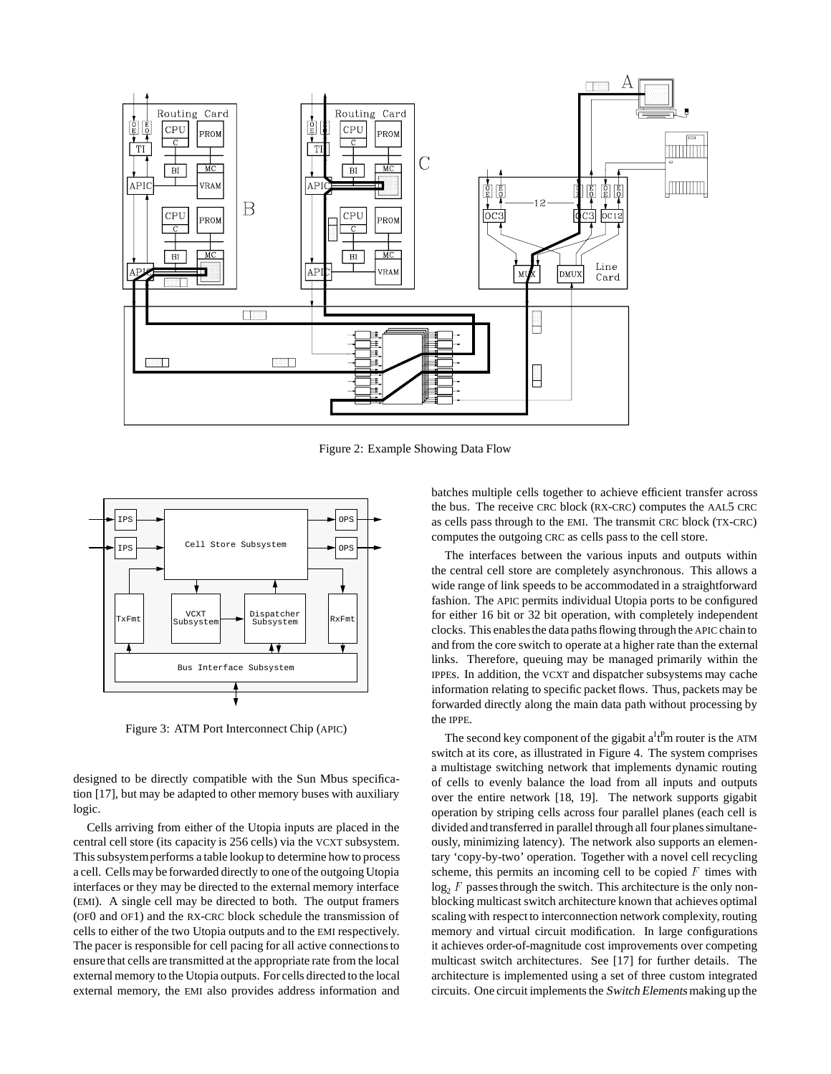

Figure 2: Example Showing Data Flow



Figure 3: ATM Port Interconnect Chip (APIC)

designed to be directly compatible with the Sun Mbus specification [17], but may be adapted to other memory buses with auxiliary logic.

Cells arriving from either of the Utopia inputs are placed in the central cell store (its capacity is 256 cells) via the VCXT subsystem. This subsystemperforms a table lookup to determine how to process a cell. Cells may be forwarded directly to one of the outgoing Utopia interfaces or they may be directed to the external memory interface (EMI). A single cell may be directed to both. The output framers (OF0 and OF1) and the RX-CRC block schedule the transmission of cells to either of the two Utopia outputs and to the EMI respectively. The pacer is responsible for cell pacing for all active connections to ensure that cells are transmitted at the appropriate rate from the local external memory to the Utopia outputs. For cells directed to the local external memory, the EMI also provides address information and

batches multiple cells together to achieve efficient transfer across the bus. The receive CRC block (RX-CRC) computes the AAL5 CRC as cells pass through to the EMI. The transmit CRC block (TX-CRC) computes the outgoing CRC as cells pass to the cell store.

The interfaces between the various inputs and outputs within the central cell store are completely asynchronous. This allows a wide range of link speeds to be accommodated in a straightforward fashion. The APIC permits individual Utopia ports to be configured for either 16 bit or 32 bit operation, with completely independent clocks. This enablesthe data paths flowing through the APIC chain to and from the core switch to operate at a higher rate than the external links. Therefore, queuing may be managed primarily within the IPPEs. In addition, the VCXT and dispatcher subsystems may cache information relating to specific packet flows. Thus, packets may be forwarded directly along the main data path without processing by the IPPE.

The second key component of the gigabit  $a^{I}f^{P}$ m router is the ATM switch at its core, as illustrated in Figure 4. The system comprises a multistage switching network that implements dynamic routing of cells to evenly balance the load from all inputs and outputs over the entire network [18, 19]. The network supports gigabit operation by striping cells across four parallel planes (each cell is divided and transferred in parallel through all four planes simultaneously, minimizing latency). The network also supports an elementary 'copy-by-two' operation. Together with a novel cell recycling scheme, this permits an incoming cell to be copied  $F$  times with  $log<sub>2</sub> F$  passes through the switch. This architecture is the only nonblocking multicast switch architecture known that achieves optimal scaling with respect to interconnection network complexity, routing memory and virtual circuit modification. In large configurations it achieves order-of-magnitude cost improvements over competing multicast switch architectures. See [17] for further details. The architecture is implemented using a set of three custom integrated circuits. One circuit implements the Switch Elements making up the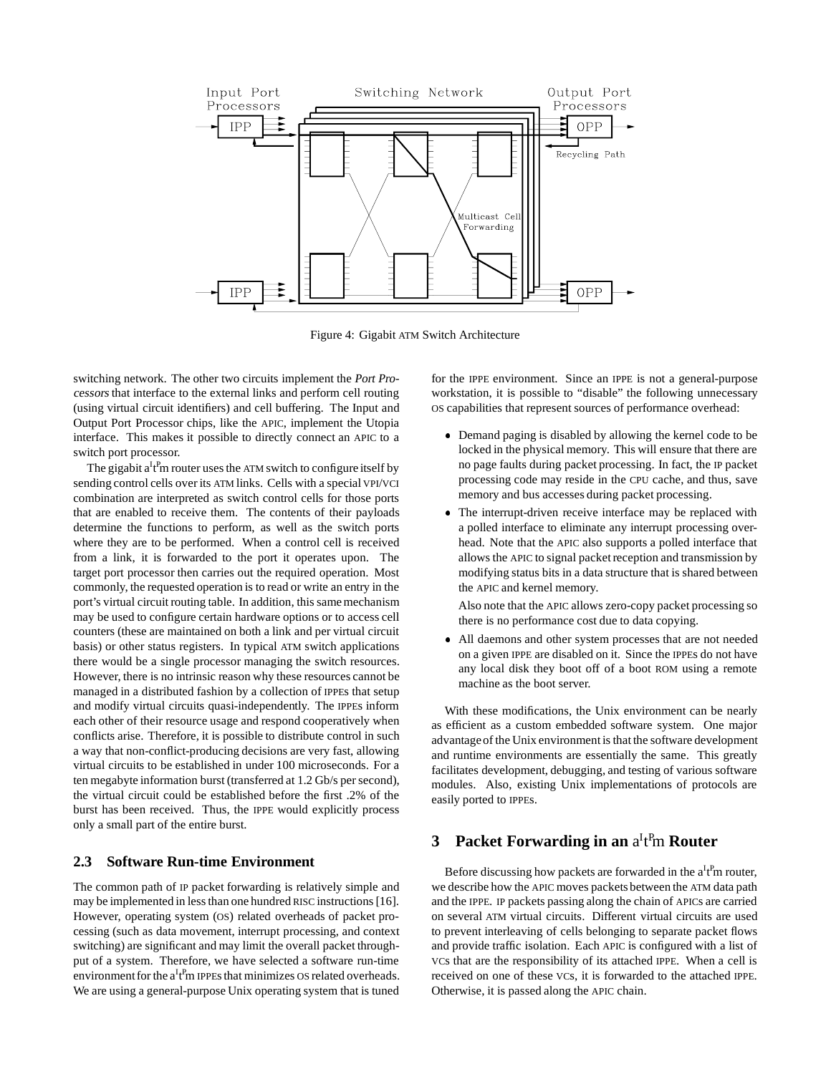

Figure 4: Gigabit ATM Switch Architecture

switching network. The other two circuits implement the Port Processors that interface to the external links and perform cell routing (using virtual circuit identifiers) and cell buffering. The Input and Output Port Processor chips, like the APIC, implement the Utopia interface. This makes it possible to directly connect an APIC to a switch port processor.

The gigabit  $a^It^Pm$  router uses the ATM switch to configure itself by sending control cells over its ATM links. Cells with a special VPI/VCI combination are interpreted as switch control cells for those ports that are enabled to receive them. The contents of their payloads determine the functions to perform, as well as the switch ports where they are to be performed. When a control cell is received from a link, it is forwarded to the port it operates upon. The target port processor then carries out the required operation. Most commonly, the requested operation is to read or write an entry in the port's virtual circuit routing table. In addition, this same mechanism may be used to configure certain hardware options or to access cell counters (these are maintained on both a link and per virtual circuit basis) or other status registers. In typical ATM switch applications there would be a single processor managing the switch resources. However, there is no intrinsic reason why these resources cannot be managed in a distributed fashion by a collection of IPPEs that setup and modify virtual circuits quasi-independently. The IPPEs inform each other of their resource usage and respond cooperatively when conflicts arise. Therefore, it is possible to distribute control in such a way that non-conflict-producing decisions are very fast, allowing virtual circuits to be established in under 100 microseconds. For a ten megabyte information burst (transferred at 1.2 Gb/s per second), the virtual circuit could be established before the first .2% of the burst has been received. Thus, the IPPE would explicitly process only a small part of the entire burst.

## **2.3 Software Run-time Environment**

The common path of IP packet forwarding is relatively simple and may be implemented in less than one hundred RISC instructions [16]. However, operating system (OS) related overheads of packet processing (such as data movement, interrupt processing, and context switching) are significant and may limit the overall packet throughput of a system. Therefore, we have selected a software run-time environment for the  $a^It^Pm$  IPPEs that minimizes OS related overheads. We are using a general-purpose Unix operating system that is tuned

for the IPPE environment. Since an IPPE is not a general-purpose workstation, it is possible to "disable" the following unnecessary OS capabilities that represent sources of performance overhead:

- Demand paging is disabled by allowing the kernel code to be locked in the physical memory. This will ensure that there are no page faults during packet processing. In fact, the IP packet processing code may reside in the CPU cache, and thus, save memory and bus accesses during packet processing.
- The interrupt-driven receive interface may be replaced with a polled interface to eliminate any interrupt processing overhead. Note that the APIC also supports a polled interface that allows the APIC to signal packet reception and transmission by modifying status bits in a data structure that is shared between the APIC and kernel memory.

Also note that the APIC allows zero-copy packet processing so there is no performance cost due to data copying.

 All daemons and other system processes that are not needed on a given IPPE are disabled on it. Since the IPPEs do not have any local disk they boot off of a boot ROM using a remote machine as the boot server.

With these modifications, the Unix environment can be nearly as efficient as a custom embedded software system. One major advantageof the Unix environment is that the software development and runtime environments are essentially the same. This greatly facilitates development, debugging, and testing of various software modules. Also, existing Unix implementations of protocols are easily ported to IPPEs.

# **3** Packet Forwarding in an a<sup>I</sup>t<sup>P</sup>m Router

Before discussing how packets are forwarded in the  $a^If^Pm$  router, we describe how the APIC moves packets between the ATM data path and the IPPE. IP packets passing along the chain of APICs are carried on several ATM virtual circuits. Different virtual circuits are used to prevent interleaving of cells belonging to separate packet flows and provide traffic isolation. Each APIC is configured with a list of VCs that are the responsibility of its attached IPPE. When a cell is received on one of these VCs, it is forwarded to the attached IPPE. Otherwise, it is passed along the APIC chain.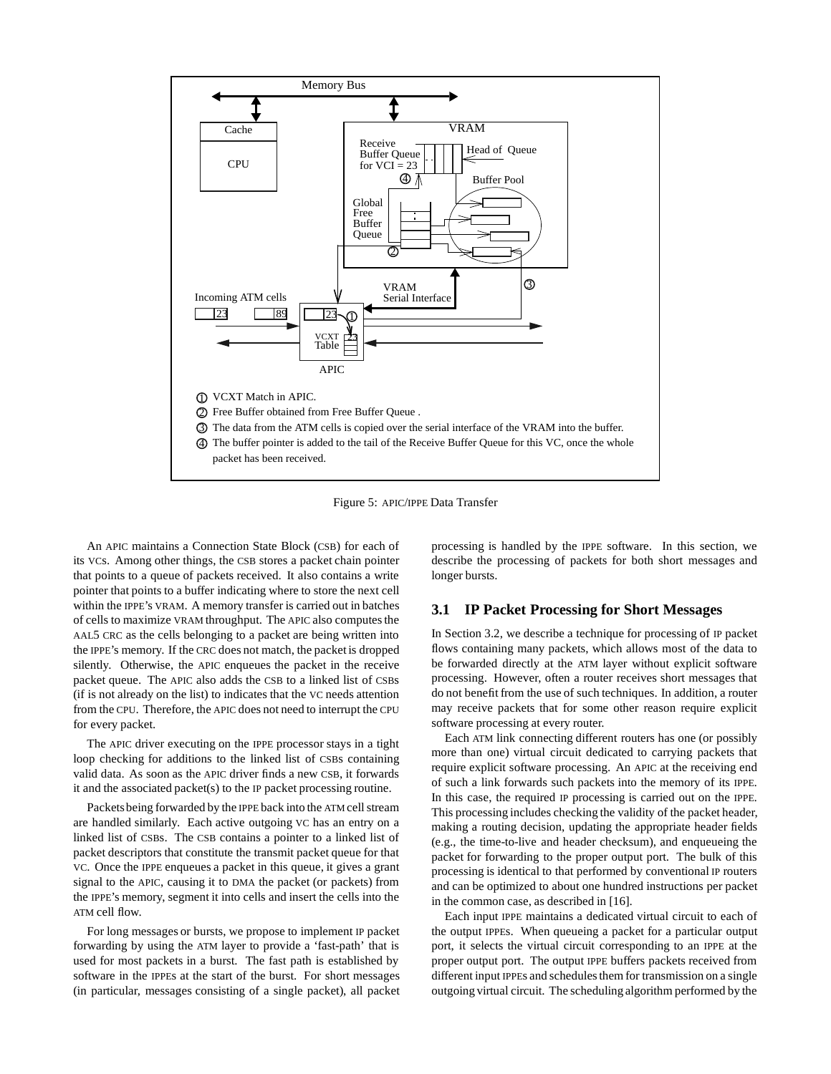

Figure 5: APIC/IPPE Data Transfer

An APIC maintains a Connection State Block (CSB) for each of its VCs. Among other things, the CSB stores a packet chain pointer that points to a queue of packets received. It also contains a write pointer that points to a buffer indicating where to store the next cell within the IPPE's VRAM. A memory transfer is carried out in batches of cells to maximize VRAM throughput. The APIC also computes the AAL5 CRC as the cells belonging to a packet are being written into the IPPE's memory. If the CRC does not match, the packet is dropped silently. Otherwise, the APIC enqueues the packet in the receive packet queue. The APIC also adds the CSB to a linked list of CSBs (if is not already on the list) to indicates that the VC needs attention from the CPU. Therefore, the APIC does not need to interrupt the CPU for every packet.

The APIC driver executing on the IPPE processor stays in a tight loop checking for additions to the linked list of CSBs containing valid data. As soon as the APIC driver finds a new CSB, it forwards it and the associated packet(s) to the IP packet processing routine.

Packetsbeing forwarded by the IPPE back into the ATM cell stream are handled similarly. Each active outgoing VC has an entry on a linked list of CSBs. The CSB contains a pointer to a linked list of packet descriptors that constitute the transmit packet queue for that VC. Once the IPPE enqueues a packet in this queue, it gives a grant signal to the APIC, causing it to DMA the packet (or packets) from the IPPE's memory, segment it into cells and insert the cells into the ATM cell flow.

For long messages or bursts, we propose to implement IP packet forwarding by using the ATM layer to provide a 'fast-path' that is used for most packets in a burst. The fast path is established by software in the IPPEs at the start of the burst. For short messages (in particular, messages consisting of a single packet), all packet processing is handled by the IPPE software. In this section, we describe the processing of packets for both short messages and longer bursts.

#### **3.1 IP Packet Processing for Short Messages**

In Section 3.2, we describe a technique for processing of IP packet flows containing many packets, which allows most of the data to be forwarded directly at the ATM layer without explicit software processing. However, often a router receives short messages that do not benefit from the use of such techniques. In addition, a router may receive packets that for some other reason require explicit software processing at every router.

Each ATM link connecting different routers has one (or possibly more than one) virtual circuit dedicated to carrying packets that require explicit software processing. An APIC at the receiving end of such a link forwards such packets into the memory of its IPPE. In this case, the required IP processing is carried out on the IPPE. This processing includes checking the validity of the packet header, making a routing decision, updating the appropriate header fields (e.g., the time-to-live and header checksum), and enqueueing the packet for forwarding to the proper output port. The bulk of this processing is identical to that performed by conventional IP routers and can be optimized to about one hundred instructions per packet in the common case, as described in [16].

Each input IPPE maintains a dedicated virtual circuit to each of the output IPPEs. When queueing a packet for a particular output port, it selects the virtual circuit corresponding to an IPPE at the proper output port. The output IPPE buffers packets received from different input IPPEs and schedules them for transmission on a single outgoing virtual circuit. The scheduling algorithm performed by the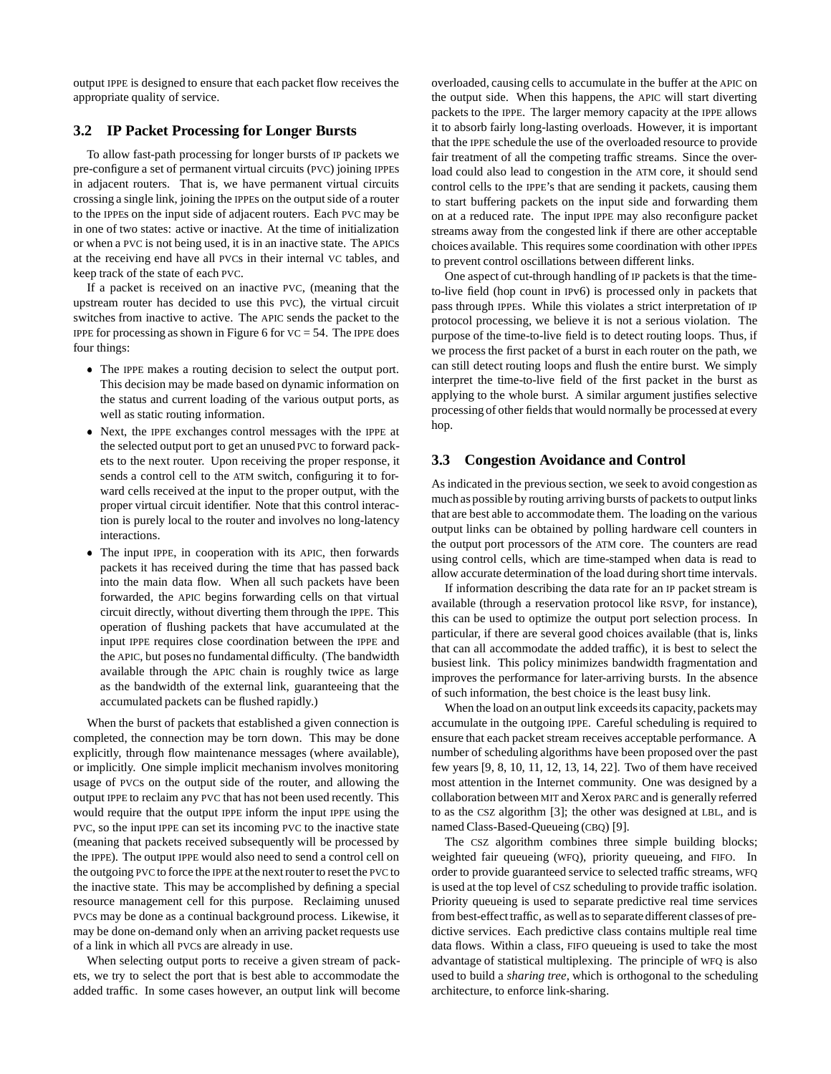output IPPE is designed to ensure that each packet flow receives the appropriate quality of service.

## **3.2 IP Packet Processing for Longer Bursts**

To allow fast-path processing for longer bursts of IP packets we pre-configure a set of permanent virtual circuits (PVC) joining IPPEs in adjacent routers. That is, we have permanent virtual circuits crossing a single link, joining the IPPEs on the output side of a router to the IPPEs on the input side of adjacent routers. Each PVC may be in one of two states: active or inactive. At the time of initialization or when a PVC is not being used, it is in an inactive state. The APICs at the receiving end have all PVCs in their internal VC tables, and keep track of the state of each PVC.

If a packet is received on an inactive PVC, (meaning that the upstream router has decided to use this PVC), the virtual circuit switches from inactive to active. The APIC sends the packet to the IPPE for processing as shown in Figure 6 for  $VC = 54$ . The IPPE does four things:

- The IPPE makes a routing decision to select the output port. This decision may be made based on dynamic information on the status and current loading of the various output ports, as well as static routing information.
- Next, the IPPE exchanges control messages with the IPPE at the selected output port to get an unused PVC to forward packets to the next router. Upon receiving the proper response, it sends a control cell to the ATM switch, configuring it to forward cells received at the input to the proper output, with the proper virtual circuit identifier. Note that this control interaction is purely local to the router and involves no long-latency interactions.
- The input IPPE, in cooperation with its APIC, then forwards packets it has received during the time that has passed back into the main data flow. When all such packets have been forwarded, the APIC begins forwarding cells on that virtual circuit directly, without diverting them through the IPPE. This operation of flushing packets that have accumulated at the input IPPE requires close coordination between the IPPE and the APIC, but poses no fundamental difficulty. (The bandwidth available through the APIC chain is roughly twice as large as the bandwidth of the external link, guaranteeing that the accumulated packets can be flushed rapidly.)

When the burst of packets that established a given connection is completed, the connection may be torn down. This may be done explicitly, through flow maintenance messages (where available), or implicitly. One simple implicit mechanism involves monitoring usage of PVCs on the output side of the router, and allowing the output IPPE to reclaim any PVC that has not been used recently. This would require that the output IPPE inform the input IPPE using the PVC, so the input IPPE can set its incoming PVC to the inactive state (meaning that packets received subsequently will be processed by the IPPE). The output IPPE would also need to send a control cell on the outgoing PVC to force the IPPE at the next router to reset the PVC to the inactive state. This may be accomplished by defining a special resource management cell for this purpose. Reclaiming unused PVCs may be done as a continual background process. Likewise, it may be done on-demand only when an arriving packet requests use of a link in which all PVCs are already in use.

When selecting output ports to receive a given stream of packets, we try to select the port that is best able to accommodate the added traffic. In some cases however, an output link will become

overloaded, causing cells to accumulate in the buffer at the APIC on the output side. When this happens, the APIC will start diverting packets to the IPPE. The larger memory capacity at the IPPE allows it to absorb fairly long-lasting overloads. However, it is important that the IPPE schedule the use of the overloaded resource to provide fair treatment of all the competing traffic streams. Since the overload could also lead to congestion in the ATM core, it should send control cells to the IPPE's that are sending it packets, causing them to start buffering packets on the input side and forwarding them on at a reduced rate. The input IPPE may also reconfigure packet streams away from the congested link if there are other acceptable choices available. This requires some coordination with other IPPEs to prevent control oscillations between different links.

One aspect of cut-through handling of IP packets is that the timeto-live field (hop count in IPv6) is processed only in packets that pass through IPPEs. While this violates a strict interpretation of IP protocol processing, we believe it is not a serious violation. The purpose of the time-to-live field is to detect routing loops. Thus, if we process the first packet of a burst in each router on the path, we can still detect routing loops and flush the entire burst. We simply interpret the time-to-live field of the first packet in the burst as applying to the whole burst. A similar argument justifies selective processing of other fields that would normally be processed at every hop.

#### **3.3 Congestion Avoidance and Control**

As indicated in the previous section, we seek to avoid congestion as much as possible by routing arriving bursts of packets to output links that are best able to accommodate them. The loading on the various output links can be obtained by polling hardware cell counters in the output port processors of the ATM core. The counters are read using control cells, which are time-stamped when data is read to allow accurate determination of the load during short time intervals.

If information describing the data rate for an IP packet stream is available (through a reservation protocol like RSVP, for instance), this can be used to optimize the output port selection process. In particular, if there are several good choices available (that is, links that can all accommodate the added traffic), it is best to select the busiest link. This policy minimizes bandwidth fragmentation and improves the performance for later-arriving bursts. In the absence of such information, the best choice is the least busy link.

When the load on an output link exceeds its capacity, packets may accumulate in the outgoing IPPE. Careful scheduling is required to ensure that each packet stream receives acceptable performance. A number of scheduling algorithms have been proposed over the past few years [9, 8, 10, 11, 12, 13, 14, 22]. Two of them have received most attention in the Internet community. One was designed by a collaboration between MIT and Xerox PARC and is generally referred to as the CSZ algorithm [3]; the other was designed at LBL, and is named Class-Based-Queueing (CBQ) [9].

The CSZ algorithm combines three simple building blocks; weighted fair queueing (WFQ), priority queueing, and FIFO. In order to provide guaranteed service to selected traffic streams, WFQ is used at the top level of CSZ scheduling to provide traffic isolation. Priority queueing is used to separate predictive real time services from best-effect traffic, as well as to separate different classesof predictive services. Each predictive class contains multiple real time data flows. Within a class, FIFO queueing is used to take the most advantage of statistical multiplexing. The principle of WFQ is also used to build a *sharing tree*, which is orthogonal to the scheduling architecture, to enforce link-sharing.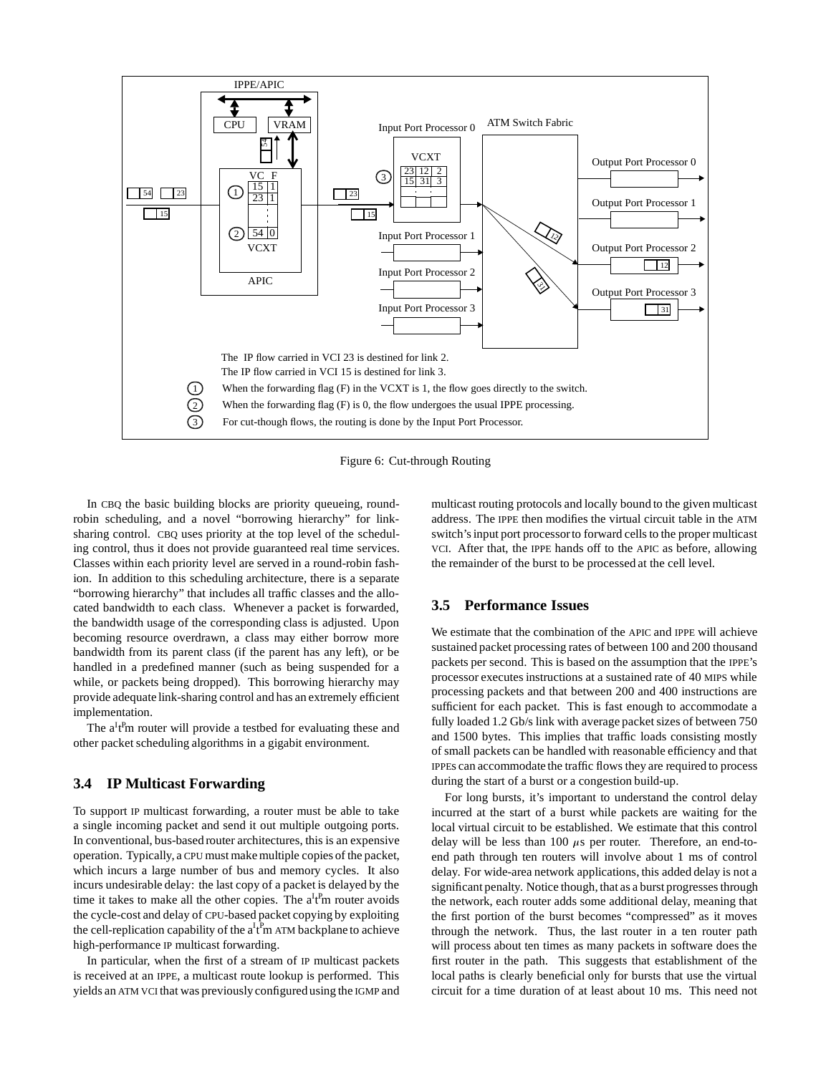

Figure 6: Cut-through Routing

In CBQ the basic building blocks are priority queueing, roundrobin scheduling, and a novel "borrowing hierarchy" for linksharing control. CBQ uses priority at the top level of the scheduling control, thus it does not provide guaranteed real time services. Classes within each priority level are served in a round-robin fashion. In addition to this scheduling architecture, there is a separate "borrowing hierarchy" that includes all traffic classes and the allocated bandwidth to each class. Whenever a packet is forwarded, the bandwidth usage of the corresponding class is adjusted. Upon becoming resource overdrawn, a class may either borrow more bandwidth from its parent class (if the parent has any left), or be handled in a predefined manner (such as being suspended for a while, or packets being dropped). This borrowing hierarchy may provide adequate link-sharing control and has an extremely efficient implementation.

The  $a^{I}t^{P}$ m router will provide a testbed for evaluating these and other packet scheduling algorithms in a gigabit environment.

## **3.4 IP Multicast Forwarding**

To support IP multicast forwarding, a router must be able to take a single incoming packet and send it out multiple outgoing ports. In conventional, bus-based router architectures, this is an expensive operation. Typically, a CPU must make multiple copies of the packet, which incurs a large number of bus and memory cycles. It also incurs undesirable delay: the last copy of a packet is delayed by the time it takes to make all the other copies. The  $a^{I}t^{P}$ m router avoids the cycle-cost and delay of CPU-based packet copying by exploiting the cell-replication capability of the  $a^It^Pm$  ATM backplane to achieve high-performance IP multicast forwarding.

In particular, when the first of a stream of IP multicast packets is received at an IPPE, a multicast route lookup is performed. This yields an ATM VCI that was previously configured using the IGMP and

multicast routing protocols and locally bound to the given multicast address. The IPPE then modifies the virtual circuit table in the ATM switch's input port processorto forward cells to the proper multicast VCI. After that, the IPPE hands off to the APIC as before, allowing the remainder of the burst to be processed at the cell level.

## **3.5 Performance Issues**

We estimate that the combination of the APIC and IPPE will achieve sustained packet processing rates of between 100 and 200 thousand packets per second. This is based on the assumption that the IPPE's processor executes instructions at a sustained rate of 40 MIPS while processing packets and that between 200 and 400 instructions are sufficient for each packet. This is fast enough to accommodate a fully loaded 1.2 Gb/s link with average packet sizes of between 750 and 1500 bytes. This implies that traffic loads consisting mostly of small packets can be handled with reasonable efficiency and that IPPEs can accommodate the traffic flows they are required to process during the start of a burst or a congestion build-up.

For long bursts, it's important to understand the control delay incurred at the start of a burst while packets are waiting for the local virtual circuit to be established. We estimate that this control delay will be less than 100  $\mu$ s per router. Therefore, an end-toend path through ten routers will involve about 1 ms of control delay. For wide-area network applications, this added delay is not a significant penalty. Notice though, that as a burst progresses through the network, each router adds some additional delay, meaning that the first portion of the burst becomes "compressed" as it moves through the network. Thus, the last router in a ten router path will process about ten times as many packets in software does the first router in the path. This suggests that establishment of the local paths is clearly beneficial only for bursts that use the virtual circuit for a time duration of at least about 10 ms. This need not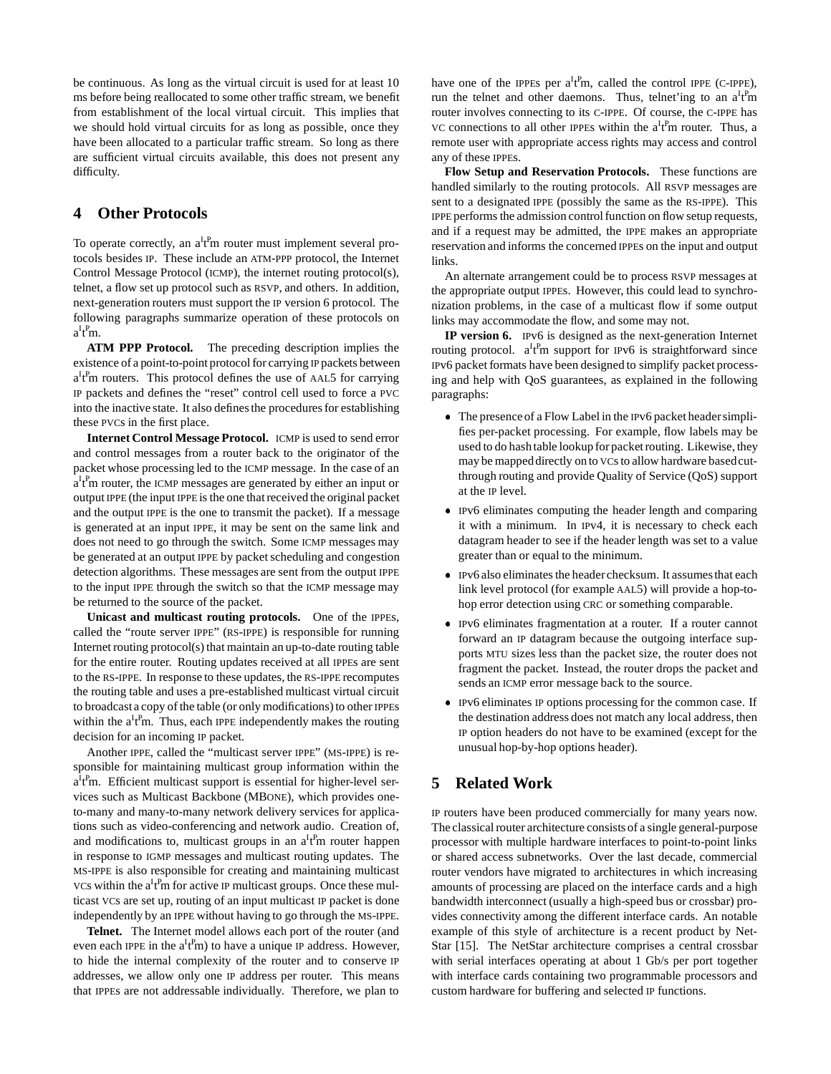be continuous. As long as the virtual circuit is used for at least 10 ms before being reallocated to some other traffic stream, we benefit from establishment of the local virtual circuit. This implies that we should hold virtual circuits for as long as possible, once they have been allocated to a particular traffic stream. So long as there are sufficient virtual circuits available, this does not present any difficulty.

## **4 Other Protocols**

To operate correctly, an  $a^{I}t^{P}$ m router must implement several protocols besides IP. These include an ATM-PPP protocol, the Internet Control Message Protocol (ICMP), the internet routing protocol(s), telnet, a flow set up protocol such as RSVP, and others. In addition, next-generation routers must support the IP version 6 protocol. The following paragraphs summarize operation of these protocols on  $a^It^Pm$ .

**ATM PPP Protocol.** The preceding description implies the existence of a point-to-point protocol for carrying IP packets between  $a^{I}$ t<sup>p</sup>m routers. This protocol defines the use of AAL5 for carrying IP packets and defines the "reset" control cell used to force a PVC into the inactive state. It also defines the procedures for establishing these PVCs in the first place.

**Internet Control Message Protocol.** ICMP is used to send error and control messages from a router back to the originator of the packet whose processing led to the ICMP message. In the case of an  $a^{I}$ <sub>t</sub><sup>p</sup>m router, the ICMP messages are generated by either an input or output IPPE (the input IPPE is the one that received the original packet and the output IPPE is the one to transmit the packet). If a message is generated at an input IPPE, it may be sent on the same link and does not need to go through the switch. Some ICMP messages may be generated at an output IPPE by packet scheduling and congestion detection algorithms. These messages are sent from the output IPPE to the input IPPE through the switch so that the ICMP message may be returned to the source of the packet.

**Unicast and multicast routing protocols.** One of the IPPEs, called the "route server IPPE" (RS-IPPE) is responsible for running Internet routing protocol(s) that maintain an up-to-date routing table for the entire router. Routing updates received at all IPPEs are sent to the RS-IPPE. In response to these updates, the RS-IPPE recomputes the routing table and uses a pre-established multicast virtual circuit to broadcast a copy of the table (or only modifications) to other IPPEs within the  $a^{I}t^{P}m$ . Thus, each IPPE independently makes the routing decision for an incoming IP packet.

Another IPPE, called the "multicast server IPPE" (MS-IPPE) is responsible for maintaining multicast group information within the a<sup>I</sup>t<sup>P</sup>m. Efficient multicast support is essential for higher-level services such as Multicast Backbone (MBONE), which provides oneto-many and many-to-many network delivery services for applications such as video-conferencing and network audio. Creation of, and modifications to, multicast groups in an  $a^It^Pm$  router happen in response to IGMP messages and multicast routing updates. The MS-IPPE is also responsible for creating and maintaining multicast VCs within the  $a^It^Pm$  for active IP multicast groups. Once these multicast VCs are set up, routing of an input multicast IP packet is done independently by an IPPE without having to go through the MS-IPPE.

**Telnet.** The Internet model allows each port of the router (and even each IPPE in the  $a^{I}$ <sup>t</sup>m) to have a unique IP address. However, to hide the internal complexity of the router and to conserve IP addresses, we allow only one IP address per router. This means that IPPEs are not addressable individually. Therefore, we plan to

have one of the IPPEs per  $a^{I}t^{P}m$ , called the control IPPE (C-IPPE), run the telnet and other daemons. Thus, telnet'ing to an a<sup>I</sup>t<sup>P</sup>m router involves connecting to its C-IPPE. Of course, the C-IPPE has VC connections to all other IPPEs within the  $a^I$ <sup>P</sup>m router. Thus, a remote user with appropriate access rights may access and control any of these IPPEs.

**Flow Setup and Reservation Protocols.** These functions are handled similarly to the routing protocols. All RSVP messages are sent to a designated IPPE (possibly the same as the RS-IPPE). This IPPE performs the admission control function on flow setup requests, and if a request may be admitted, the IPPE makes an appropriate reservation and informs the concerned IPPEs on the input and output links.

An alternate arrangement could be to process RSVP messages at the appropriate output IPPEs. However, this could lead to synchronization problems, in the case of a multicast flow if some output links may accommodate the flow, and some may not.

**IP version 6.** IPv6 is designed as the next-generation Internet routing protocol. a<sup>I</sup>t<sup>P</sup>m support for IPv6 is straightforward since IPv6 packet formats have been designed to simplify packet processing and help with QoS guarantees, as explained in the following paragraphs:

- The presenceof a Flow Label in the IPv6 packet headersimplifies per-packet processing. For example, flow labels may be used to do hash table lookup for packet routing. Likewise, they may be mappeddirectly on to VCs to allow hardware basedcutthrough routing and provide Quality of Service (QoS) support at the IP level.
- IPv6 eliminates computing the header length and comparing it with a minimum. In IPv4, it is necessary to check each datagram header to see if the header length was set to a value greater than or equal to the minimum.
- IPv6 also eliminates the headerchecksum. It assumesthat each link level protocol (for example AAL5) will provide a hop-tohop error detection using CRC or something comparable.
- IPv6 eliminates fragmentation at a router. If a router cannot forward an IP datagram because the outgoing interface supports MTU sizes less than the packet size, the router does not fragment the packet. Instead, the router drops the packet and sends an ICMP error message back to the source.
- IPv6 eliminates IP options processing for the common case. If the destination address does not match any local address, then IP option headers do not have to be examined (except for the unusual hop-by-hop options header).

# **5 Related Work**

IP routers have been produced commercially for many years now. The classical router architecture consists of a single general-purpose processor with multiple hardware interfaces to point-to-point links or shared access subnetworks. Over the last decade, commercial router vendors have migrated to architectures in which increasing amounts of processing are placed on the interface cards and a high bandwidth interconnect (usually a high-speed bus or crossbar) provides connectivity among the different interface cards. An notable example of this style of architecture is a recent product by Net-Star [15]. The NetStar architecture comprises a central crossbar with serial interfaces operating at about 1 Gb/s per port together with interface cards containing two programmable processors and custom hardware for buffering and selected IP functions.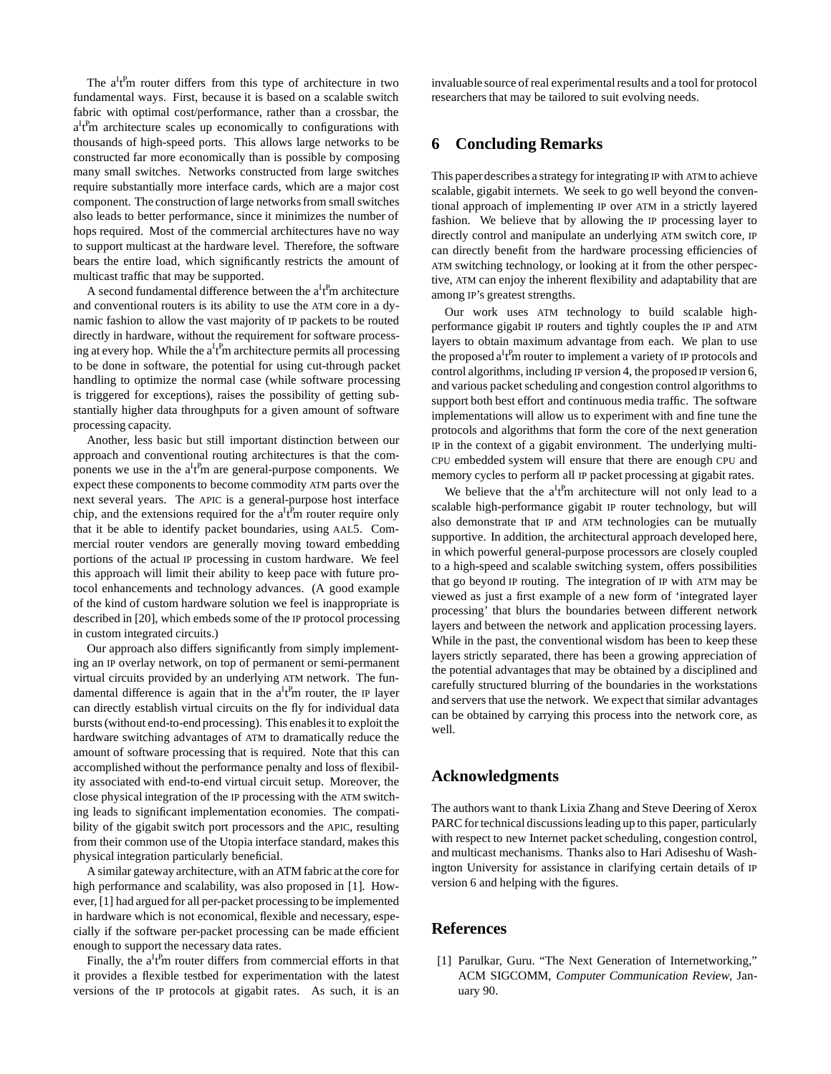The  $a^It^Pm$  router differs from this type of architecture in two fundamental ways. First, because it is based on a scalable switch fabric with optimal cost/performance, rather than a crossbar, the a<sup>I</sup>t<sup>P</sup>m architecture scales up economically to configurations with thousands of high-speed ports. This allows large networks to be constructed far more economically than is possible by composing many small switches. Networks constructed from large switches require substantially more interface cards, which are a major cost component. The construction of large networks from small switches also leads to better performance, since it minimizes the number of hops required. Most of the commercial architectures have no way to support multicast at the hardware level. Therefore, the software bears the entire load, which significantly restricts the amount of multicast traffic that may be supported.

A second fundamental difference between the  $a^{I}f^{P}$ m architecture and conventional routers is its ability to use the ATM core in a dynamic fashion to allow the vast majority of IP packets to be routed directly in hardware, without the requirement for software processing at every hop. While the  $a^It^Pm$  architecture permits all processing to be done in software, the potential for using cut-through packet handling to optimize the normal case (while software processing is triggered for exceptions), raises the possibility of getting substantially higher data throughputs for a given amount of software processing capacity.

Another, less basic but still important distinction between our approach and conventional routing architectures is that the components we use in the  $a^It^Pm$  are general-purpose components. We expect these components to become commodity ATM parts over the next several years. The APIC is a general-purpose host interface chip, and the extensions required for the  $a^{I}t^{P}$ m router require only that it be able to identify packet boundaries, using AAL5. Commercial router vendors are generally moving toward embedding portions of the actual IP processing in custom hardware. We feel this approach will limit their ability to keep pace with future protocol enhancements and technology advances. (A good example of the kind of custom hardware solution we feel is inappropriate is described in [20], which embeds some of the IP protocol processing in custom integrated circuits.)

Our approach also differs significantly from simply implementing an IP overlay network, on top of permanent or semi-permanent virtual circuits provided by an underlying ATM network. The fundamental difference is again that in the  $a^It^Pm$  router, the IP layer can directly establish virtual circuits on the fly for individual data bursts (without end-to-end processing). This enablesit to exploit the hardware switching advantages of ATM to dramatically reduce the amount of software processing that is required. Note that this can accomplished without the performance penalty and loss of flexibility associated with end-to-end virtual circuit setup. Moreover, the close physical integration of the IP processing with the ATM switching leads to significant implementation economies. The compatibility of the gigabit switch port processors and the APIC, resulting from their common use of the Utopia interface standard, makes this physical integration particularly beneficial.

A similar gateway architecture, with an ATM fabric at the core for high performance and scalability, was also proposed in [1]. However, [1] had argued for all per-packet processing to be implemented in hardware which is not economical, flexible and necessary, especially if the software per-packet processing can be made efficient enough to support the necessary data rates.

Finally, the  $a^{I}t^{P}m$  router differs from commercial efforts in that it provides a flexible testbed for experimentation with the latest versions of the IP protocols at gigabit rates. As such, it is an

invaluable source of real experimental results and a tool for protocol researchers that may be tailored to suit evolving needs.

## **6 Concluding Remarks**

This paperdescribes a strategy for integrating IP with ATM to achieve scalable, gigabit internets. We seek to go well beyond the conventional approach of implementing IP over ATM in a strictly layered fashion. We believe that by allowing the IP processing layer to directly control and manipulate an underlying ATM switch core, IP can directly benefit from the hardware processing efficiencies of ATM switching technology, or looking at it from the other perspective, ATM can enjoy the inherent flexibility and adaptability that are among IP's greatest strengths.

Our work uses ATM technology to build scalable highperformance gigabit IP routers and tightly couples the IP and ATM layers to obtain maximum advantage from each. We plan to use the proposed  $a^I t^P m$  router to implement a variety of IP protocols and control algorithms, including IP version 4, the proposed IP version 6, and various packet scheduling and congestion control algorithms to support both best effort and continuous media traffic. The software implementations will allow us to experiment with and fine tune the protocols and algorithms that form the core of the next generation IP in the context of a gigabit environment. The underlying multi-CPU embedded system will ensure that there are enough CPU and memory cycles to perform all IP packet processing at gigabit rates.

We believe that the  $a^It^Pm$  architecture will not only lead to a scalable high-performance gigabit IP router technology, but will also demonstrate that IP and ATM technologies can be mutually supportive. In addition, the architectural approach developed here, in which powerful general-purpose processors are closely coupled to a high-speed and scalable switching system, offers possibilities that go beyond IP routing. The integration of IP with ATM may be viewed as just a first example of a new form of 'integrated layer processing' that blurs the boundaries between different network layers and between the network and application processing layers. While in the past, the conventional wisdom has been to keep these layers strictly separated, there has been a growing appreciation of the potential advantages that may be obtained by a disciplined and carefully structured blurring of the boundaries in the workstations and servers that use the network. We expect that similar advantages can be obtained by carrying this process into the network core, as well.

## **Acknowledgments**

The authors want to thank Lixia Zhang and Steve Deering of Xerox PARC for technical discussions leading up to this paper, particularly with respect to new Internet packet scheduling, congestion control, and multicast mechanisms. Thanks also to Hari Adiseshu of Washington University for assistance in clarifying certain details of IP version 6 and helping with the figures.

## **References**

[1] Parulkar, Guru. "The Next Generation of Internetworking," ACM SIGCOMM, Computer Communication Review, January 90.